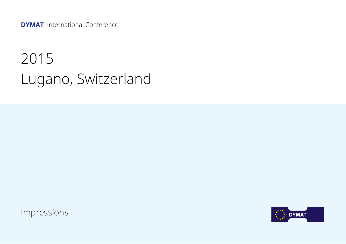**DYMAT** International Conference

## 2015 Lugano, Switzerland

Impressions

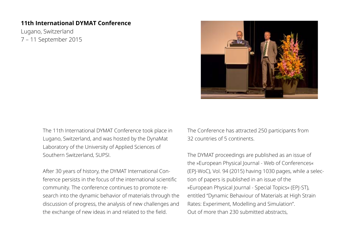## **11th International DYMAT Conference**

Lugano, Switzerland 7 – 11 September 2015



The 11th International DYMAT Conference took place in Lugano, Switzerland, and was hosted by the DynaMat Laboratory of the University of Applied Sciences of Southern Switzerland, SUPSI.

After 30 years of history, the DYMAT International Conference persists in the focus of the international scientific community. The conference continues to promote research into the dynamic behavior of materials through the discussion of progress, the analysis of new challenges and the exchange of new ideas in and related to the field.

The Conference has attracted 250 participants from 32 countries of 5 continents.

The DYMAT proceedings are published as an issue of the »European Physical Journal - Web of Conferences« (EPJ-WoC), Vol. 94 (2015) having 1030 pages, while a selection of papers is published in an issue of the »European Physical Journal - Special Topics« (EPJ-ST), entitled "Dynamic Behaviour of Materials at High Strain Rates: Experiment, Modelling and Simulation". Out of more than 230 submitted abstracts,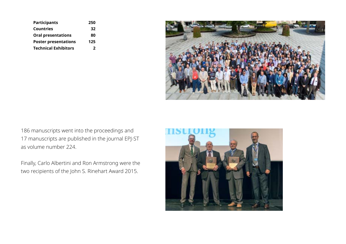| <b>Participants</b>         | 250 |
|-----------------------------|-----|
| Countries                   | 32  |
| <b>Oral presentations</b>   | 80  |
| <b>Poster presentations</b> | 125 |
| <b>Technical Exhibitors</b> | 2   |



186 manuscripts went into the proceedings and 17 manuscripts are published in the journal EPJ-ST as volume number 224.

Finally, Carlo Albertini and Ron Armstrong were the two recipients of the John S. Rinehart Award 2015.